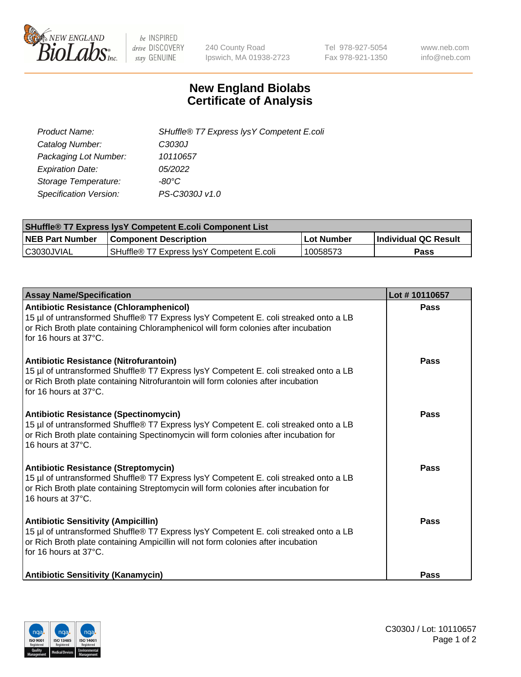

 $be$  INSPIRED drive DISCOVERY stay GENUINE

240 County Road Ipswich, MA 01938-2723 Tel 978-927-5054 Fax 978-921-1350 www.neb.com info@neb.com

## **New England Biolabs Certificate of Analysis**

| Product Name:           | SHuffle® T7 Express lysY Competent E.coli |
|-------------------------|-------------------------------------------|
| Catalog Number:         | C3030J                                    |
| Packaging Lot Number:   | 10110657                                  |
| <b>Expiration Date:</b> | 05/2022                                   |
| Storage Temperature:    | $-80^{\circ}$ C                           |
| Specification Version:  | PS-C3030J v1.0                            |

| <b>SHuffle® T7 Express lysY Competent E.coli Component List</b> |                                           |                   |                             |  |
|-----------------------------------------------------------------|-------------------------------------------|-------------------|-----------------------------|--|
| <b>NEB Part Number</b>                                          | <b>Component Description</b>              | <b>Lot Number</b> | <b>Individual QC Result</b> |  |
| C3030JVIAL                                                      | SHuffle® T7 Express IysY Competent E.coli | 10058573          | Pass                        |  |

| <b>Assay Name/Specification</b>                                                                                                                                                                                                                       | Lot #10110657 |
|-------------------------------------------------------------------------------------------------------------------------------------------------------------------------------------------------------------------------------------------------------|---------------|
| <b>Antibiotic Resistance (Chloramphenicol)</b><br>15 µl of untransformed Shuffle® T7 Express lysY Competent E. coli streaked onto a LB<br>or Rich Broth plate containing Chloramphenicol will form colonies after incubation<br>for 16 hours at 37°C. | <b>Pass</b>   |
| Antibiotic Resistance (Nitrofurantoin)<br>15 µl of untransformed Shuffle® T7 Express lysY Competent E. coli streaked onto a LB<br>or Rich Broth plate containing Nitrofurantoin will form colonies after incubation<br>for 16 hours at 37°C.          | Pass          |
| <b>Antibiotic Resistance (Spectinomycin)</b><br>15 µl of untransformed Shuffle® T7 Express lysY Competent E. coli streaked onto a LB<br>or Rich Broth plate containing Spectinomycin will form colonies after incubation for<br>16 hours at 37°C.     | Pass          |
| <b>Antibiotic Resistance (Streptomycin)</b><br>15 µl of untransformed Shuffle® T7 Express lysY Competent E. coli streaked onto a LB<br>or Rich Broth plate containing Streptomycin will form colonies after incubation for<br>16 hours at 37°C.       | Pass          |
| <b>Antibiotic Sensitivity (Ampicillin)</b><br>15 µl of untransformed Shuffle® T7 Express lysY Competent E. coli streaked onto a LB<br>or Rich Broth plate containing Ampicillin will not form colonies after incubation<br>for 16 hours at 37°C.      | Pass          |
| <b>Antibiotic Sensitivity (Kanamycin)</b>                                                                                                                                                                                                             | Pass          |